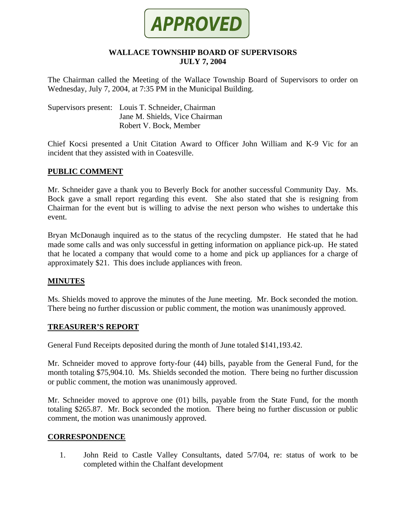

### **WALLACE TOWNSHIP BOARD OF SUPERVISORS JULY 7, 2004**

The Chairman called the Meeting of the Wallace Township Board of Supervisors to order on Wednesday, July 7, 2004, at 7:35 PM in the Municipal Building.

Supervisors present: Louis T. Schneider, Chairman Jane M. Shields, Vice Chairman Robert V. Bock, Member

Chief Kocsi presented a Unit Citation Award to Officer John William and K-9 Vic for an incident that they assisted with in Coatesville.

## **PUBLIC COMMENT**

Mr. Schneider gave a thank you to Beverly Bock for another successful Community Day. Ms. Bock gave a small report regarding this event. She also stated that she is resigning from Chairman for the event but is willing to advise the next person who wishes to undertake this event.

Bryan McDonaugh inquired as to the status of the recycling dumpster. He stated that he had made some calls and was only successful in getting information on appliance pick-up. He stated that he located a company that would come to a home and pick up appliances for a charge of approximately \$21. This does include appliances with freon.

### **MINUTES**

Ms. Shields moved to approve the minutes of the June meeting. Mr. Bock seconded the motion. There being no further discussion or public comment, the motion was unanimously approved.

### **TREASURER'S REPORT**

General Fund Receipts deposited during the month of June totaled \$141,193.42.

Mr. Schneider moved to approve forty-four (44) bills, payable from the General Fund, for the month totaling \$75,904.10. Ms. Shields seconded the motion. There being no further discussion or public comment, the motion was unanimously approved.

Mr. Schneider moved to approve one (01) bills, payable from the State Fund, for the month totaling \$265.87. Mr. Bock seconded the motion. There being no further discussion or public comment, the motion was unanimously approved.

### **CORRESPONDENCE**

1. John Reid to Castle Valley Consultants, dated 5/7/04, re: status of work to be completed within the Chalfant development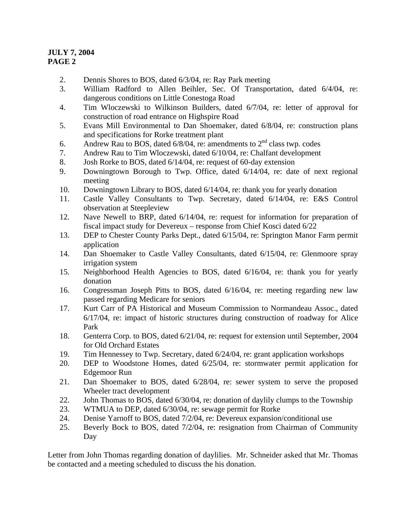- 2. Dennis Shores to BOS, dated 6/3/04, re: Ray Park meeting
- 3. William Radford to Allen Beihler, Sec. Of Transportation, dated 6/4/04, re: dangerous conditions on Little Conestoga Road
- 4. Tim Wloczewski to Wilkinson Builders, dated 6/7/04, re: letter of approval for construction of road entrance on Highspire Road
- 5. Evans Mill Environmental to Dan Shoemaker, dated 6/8/04, re: construction plans and specifications for Rorke treatment plant
- 6. Andrew Rau to BOS, dated  $6/8/04$ , re: amendments to  $2<sup>nd</sup>$  class twp. codes
- 7. Andrew Rau to Tim Wloczewski, dated 6/10/04, re: Chalfant development
- 8. Josh Rorke to BOS, dated 6/14/04, re: request of 60-day extension
- 9. Downingtown Borough to Twp. Office, dated 6/14/04, re: date of next regional meeting
- 10. Downingtown Library to BOS, dated 6/14/04, re: thank you for yearly donation
- 11. Castle Valley Consultants to Twp. Secretary, dated 6/14/04, re: E&S Control observation at Steepleview
- 12. Nave Newell to BRP, dated 6/14/04, re: request for information for preparation of fiscal impact study for Devereux – response from Chief Kosci dated 6/22
- 13. DEP to Chester County Parks Dept., dated 6/15/04, re: Springton Manor Farm permit application
- 14. Dan Shoemaker to Castle Valley Consultants, dated 6/15/04, re: Glenmoore spray irrigation system
- 15. Neighborhood Health Agencies to BOS, dated 6/16/04, re: thank you for yearly donation
- 16. Congressman Joseph Pitts to BOS, dated 6/16/04, re: meeting regarding new law passed regarding Medicare for seniors
- 17. Kurt Carr of PA Historical and Museum Commission to Normandeau Assoc., dated 6/17/04, re: impact of historic structures during construction of roadway for Alice Park
- 18. Genterra Corp. to BOS, dated 6/21/04, re: request for extension until September, 2004 for Old Orchard Estates
- 19. Tim Hennessey to Twp. Secretary, dated 6/24/04, re: grant application workshops
- 20. DEP to Woodstone Homes, dated 6/25/04, re: stormwater permit application for Edgemoor Run
- 21. Dan Shoemaker to BOS, dated 6/28/04, re: sewer system to serve the proposed Wheeler tract development
- 22. John Thomas to BOS, dated 6/30/04, re: donation of daylily clumps to the Township
- 23. WTMUA to DEP, dated 6/30/04, re: sewage permit for Rorke
- 24. Denise Yarnoff to BOS, dated 7/2/04, re: Devereux expansion/conditional use
- 25. Beverly Bock to BOS, dated 7/2/04, re: resignation from Chairman of Community Day

Letter from John Thomas regarding donation of daylilies. Mr. Schneider asked that Mr. Thomas be contacted and a meeting scheduled to discuss the his donation.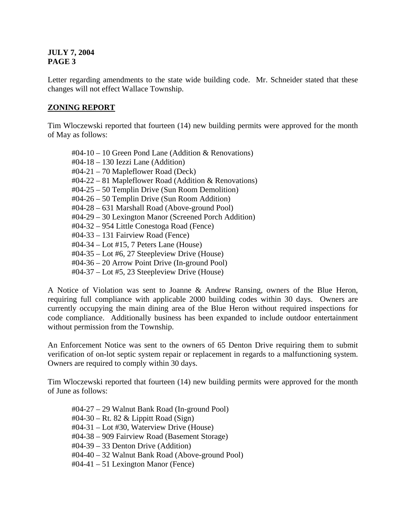Letter regarding amendments to the state wide building code. Mr. Schneider stated that these changes will not effect Wallace Township.

# **ZONING REPORT**

Tim Wloczewski reported that fourteen (14) new building permits were approved for the month of May as follows:

#04-10 – 10 Green Pond Lane (Addition & Renovations) #04-18 – 130 Iezzi Lane (Addition) #04-21 – 70 Mapleflower Road (Deck) #04-22 – 81 Mapleflower Road (Addition & Renovations) #04-25 – 50 Templin Drive (Sun Room Demolition) #04-26 – 50 Templin Drive (Sun Room Addition) #04-28 – 631 Marshall Road (Above-ground Pool) #04-29 – 30 Lexington Manor (Screened Porch Addition) #04-32 – 954 Little Conestoga Road (Fence) #04-33 – 131 Fairview Road (Fence) #04-34 – Lot #15, 7 Peters Lane (House) #04-35 – Lot #6, 27 Steepleview Drive (House) #04-36 – 20 Arrow Point Drive (In-ground Pool) #04-37 – Lot #5, 23 Steepleview Drive (House)

A Notice of Violation was sent to Joanne & Andrew Ransing, owners of the Blue Heron, requiring full compliance with applicable 2000 building codes within 30 days. Owners are currently occupying the main dining area of the Blue Heron without required inspections for code compliance. Additionally business has been expanded to include outdoor entertainment without permission from the Township.

An Enforcement Notice was sent to the owners of 65 Denton Drive requiring them to submit verification of on-lot septic system repair or replacement in regards to a malfunctioning system. Owners are required to comply within 30 days.

Tim Wloczewski reported that fourteen (14) new building permits were approved for the month of June as follows:

#04-27 – 29 Walnut Bank Road (In-ground Pool) #04-30 – Rt. 82 & Lippitt Road (Sign) #04-31 – Lot #30, Waterview Drive (House) #04-38 – 909 Fairview Road (Basement Storage) #04-39 – 33 Denton Drive (Addition) #04-40 – 32 Walnut Bank Road (Above-ground Pool)  $\text{\#04-41} - 51$  Lexington Manor (Fence)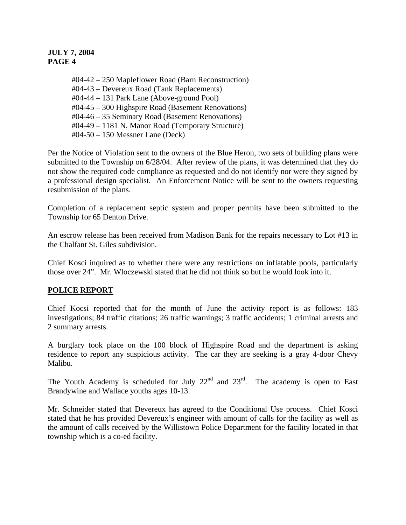#04-42 – 250 Mapleflower Road (Barn Reconstruction) #04-43 – Devereux Road (Tank Replacements) #04-44 – 131 Park Lane (Above-ground Pool) #04-45 – 300 Highspire Road (Basement Renovations) #04-46 – 35 Seminary Road (Basement Renovations) #04-49 – 1181 N. Manor Road (Temporary Structure) #04-50 – 150 Messner Lane (Deck)

Per the Notice of Violation sent to the owners of the Blue Heron, two sets of building plans were submitted to the Township on 6/28/04. After review of the plans, it was determined that they do not show the required code compliance as requested and do not identify nor were they signed by a professional design specialist. An Enforcement Notice will be sent to the owners requesting resubmission of the plans.

Completion of a replacement septic system and proper permits have been submitted to the Township for 65 Denton Drive.

An escrow release has been received from Madison Bank for the repairs necessary to Lot #13 in the Chalfant St. Giles subdivision.

Chief Kosci inquired as to whether there were any restrictions on inflatable pools, particularly those over 24". Mr. Wloczewski stated that he did not think so but he would look into it.

# **POLICE REPORT**

Chief Kocsi reported that for the month of June the activity report is as follows: 183 investigations; 84 traffic citations; 26 traffic warnings; 3 traffic accidents; 1 criminal arrests and 2 summary arrests.

A burglary took place on the 100 block of Highspire Road and the department is asking residence to report any suspicious activity. The car they are seeking is a gray 4-door Chevy Malibu.

The Youth Academy is scheduled for July  $22^{nd}$  and  $23^{rd}$ . The academy is open to East Brandywine and Wallace youths ages 10-13.

Mr. Schneider stated that Devereux has agreed to the Conditional Use process. Chief Kosci stated that he has provided Devereux's engineer with amount of calls for the facility as well as the amount of calls received by the Willistown Police Department for the facility located in that township which is a co-ed facility.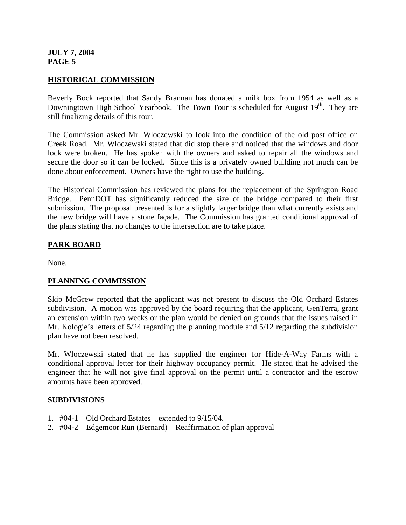## **HISTORICAL COMMISSION**

Beverly Bock reported that Sandy Brannan has donated a milk box from 1954 as well as a Downingtown High School Yearbook. The Town Tour is scheduled for August 19<sup>th</sup>. They are still finalizing details of this tour.

The Commission asked Mr. Wloczewski to look into the condition of the old post office on Creek Road. Mr. Wloczewski stated that did stop there and noticed that the windows and door lock were broken. He has spoken with the owners and asked to repair all the windows and secure the door so it can be locked. Since this is a privately owned building not much can be done about enforcement. Owners have the right to use the building.

The Historical Commission has reviewed the plans for the replacement of the Springton Road Bridge. PennDOT has significantly reduced the size of the bridge compared to their first submission. The proposal presented is for a slightly larger bridge than what currently exists and the new bridge will have a stone façade. The Commission has granted conditional approval of the plans stating that no changes to the intersection are to take place.

## **PARK BOARD**

None.

### **PLANNING COMMISSION**

Skip McGrew reported that the applicant was not present to discuss the Old Orchard Estates subdivision. A motion was approved by the board requiring that the applicant, GenTerra, grant an extension within two weeks or the plan would be denied on grounds that the issues raised in Mr. Kologie's letters of 5/24 regarding the planning module and 5/12 regarding the subdivision plan have not been resolved.

Mr. Wloczewski stated that he has supplied the engineer for Hide-A-Way Farms with a conditional approval letter for their highway occupancy permit. He stated that he advised the engineer that he will not give final approval on the permit until a contractor and the escrow amounts have been approved.

### **SUBDIVISIONS**

- 1.  $\#04-1 Old$  Orchard Estates extended to 9/15/04.
- 2. #04-2 Edgemoor Run (Bernard) Reaffirmation of plan approval